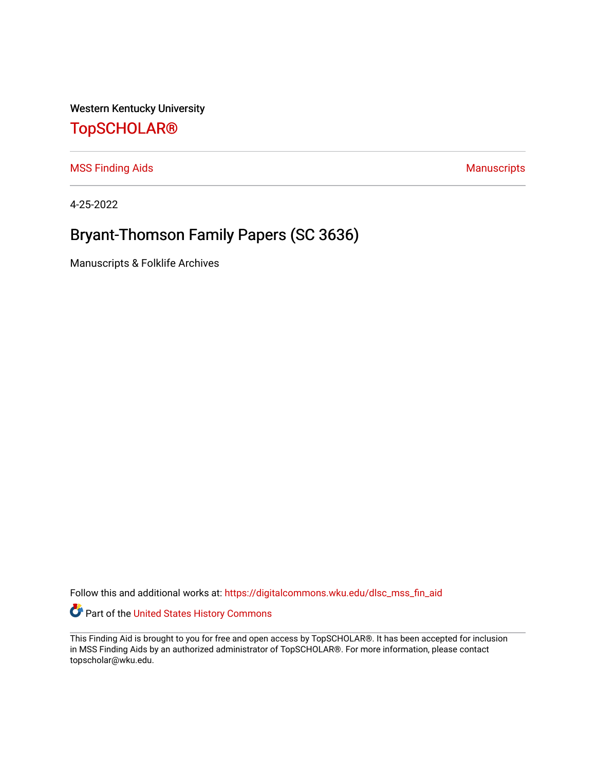Western Kentucky University

# [TopSCHOLAR®](https://digitalcommons.wku.edu/)

[MSS Finding Aids](https://digitalcommons.wku.edu/dlsc_mss_fin_aid) **MSS** Finding Aids **Manuscripts** Manuscripts

4-25-2022

# Bryant-Thomson Family Papers (SC 3636)

Manuscripts & Folklife Archives

Follow this and additional works at: [https://digitalcommons.wku.edu/dlsc\\_mss\\_fin\\_aid](https://digitalcommons.wku.edu/dlsc_mss_fin_aid?utm_source=digitalcommons.wku.edu%2Fdlsc_mss_fin_aid%2F5005&utm_medium=PDF&utm_campaign=PDFCoverPages) 

Part of the [United States History Commons](http://network.bepress.com/hgg/discipline/495?utm_source=digitalcommons.wku.edu%2Fdlsc_mss_fin_aid%2F5005&utm_medium=PDF&utm_campaign=PDFCoverPages) 

This Finding Aid is brought to you for free and open access by TopSCHOLAR®. It has been accepted for inclusion in MSS Finding Aids by an authorized administrator of TopSCHOLAR®. For more information, please contact topscholar@wku.edu.